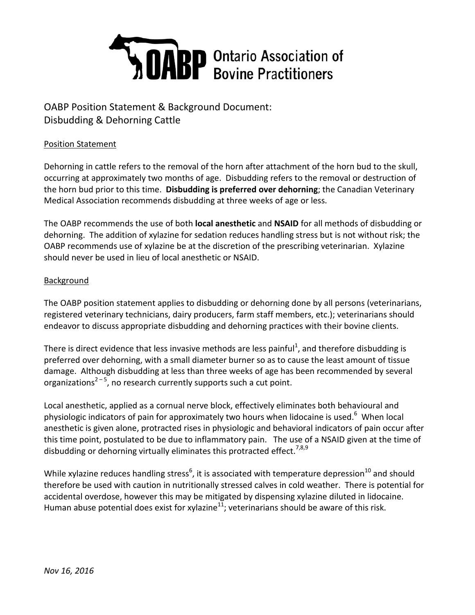

## OABP Position Statement & Background Document: Disbudding & Dehorning Cattle

## Position Statement

Dehorning in cattle refers to the removal of the horn after attachment of the horn bud to the skull, occurring at approximately two months of age. Disbudding refers to the removal or destruction of the horn bud prior to this time. **Disbudding is preferred over dehorning**; the Canadian Veterinary Medical Association recommends disbudding at three weeks of age or less.

The OABP recommends the use of both **local anesthetic** and **NSAID** for all methods of disbudding or dehorning. The addition of xylazine for sedation reduces handling stress but is not without risk; the OABP recommends use of xylazine be at the discretion of the prescribing veterinarian. Xylazine should never be used in lieu of local anesthetic or NSAID.

## **Background**

The OABP position statement applies to disbudding or dehorning done by all persons (veterinarians, registered veterinary technicians, dairy producers, farm staff members, etc.); veterinarians should endeavor to discuss appropriate disbudding and dehorning practices with their bovine clients.

There is direct evidence that less invasive methods are less painful<sup>1</sup>, and therefore disbudding is preferred over dehorning, with a small diameter burner so as to cause the least amount of tissue damage. Although disbudding at less than three weeks of age has been recommended by several organizations<sup>2-5</sup>, no research currently supports such a cut point.

Local anesthetic, applied as a cornual nerve block, effectively eliminates both behavioural and physiologic indicators of pain for approximately two hours when lidocaine is used.<sup>6</sup> When local anesthetic is given alone, protracted rises in physiologic and behavioral indicators of pain occur after this time point, postulated to be due to inflammatory pain. The use of a NSAID given at the time of disbudding or dehorning virtually eliminates this protracted effect.<sup>7,8,9</sup>

While xylazine reduces handling stress<sup>6</sup>, it is associated with temperature depression<sup>10</sup> and should therefore be used with caution in nutritionally stressed calves in cold weather. There is potential for accidental overdose, however this may be mitigated by dispensing xylazine diluted in lidocaine. Human abuse potential does exist for xylazine<sup>11</sup>; veterinarians should be aware of this risk.